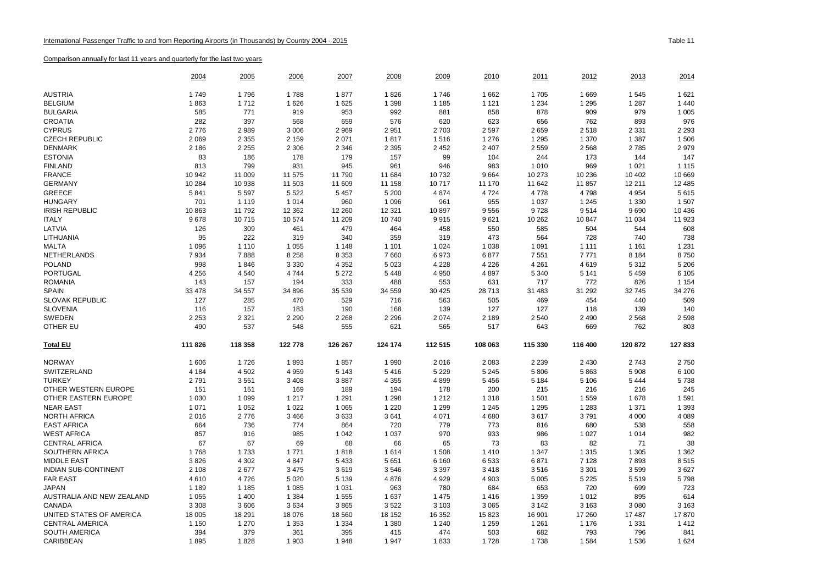|                             | 2004    | 2005    | 2006    | <u> 2007</u> | 2008    | 2009    | 2010    | 2011    | <u> 2012 </u> | <u> 2013</u> | 2014     |
|-----------------------------|---------|---------|---------|--------------|---------|---------|---------|---------|---------------|--------------|----------|
| <b>AUSTRIA</b>              | 1749    | 1796    | 1788    | 1877         | 1826    | 1746    | 1662    | 1705    | 1669          | 1545         | 1 6 2 1  |
| <b>BELGIUM</b>              | 1863    | 1712    | 1626    | 1625         | 1 3 9 8 | 1 1 8 5 | 1 1 2 1 | 1 2 3 4 | 1 2 9 5       | 1 2 8 7      | 1 4 4 0  |
| <b>BULGARIA</b>             | 585     | 771     | 919     | 953          | 992     | 881     | 858     | 878     | 909           | 979          | 1 0 0 5  |
| <b>CROATIA</b>              | 282     | 397     | 568     | 659          | 576     | 620     | 623     | 656     | 762           | 893          | 976      |
| <b>CYPRUS</b>               | 2776    | 2989    | 3 0 0 6 | 2969         | 2951    | 2 7 0 3 | 2 5 9 7 | 2659    | 2518          | 2 3 3 1      | 2 2 9 3  |
| <b>CZECH REPUBLIC</b>       | 2 0 6 9 | 2 3 5 5 | 2 1 5 9 | 2071         | 1817    | 1516    | 1 2 7 6 | 1 2 9 5 | 1 370         | 1 3 8 7      | 1 506    |
| <b>DENMARK</b>              | 2 186   | 2 2 5 5 | 2 3 0 6 | 2 3 4 6      | 2 3 9 5 | 2 4 5 2 | 2 4 0 7 | 2559    | 2568          | 2785         | 2979     |
| <b>ESTONIA</b>              | 83      | 186     | 178     | 179          | 157     | 99      | 104     | 244     | 173           | 144          | 147      |
| <b>FINLAND</b>              | 813     | 799     | 931     | 945          | 961     | 946     | 983     | 1010    | 969           | 1 0 2 1      | 1 1 1 5  |
| <b>FRANCE</b>               | 10 942  | 11 009  | 11 575  | 11 790       | 11 684  | 10 732  | 9664    | 10 273  | 10 236        | 10 402       | 10 669   |
| <b>GERMANY</b>              | 10 284  | 10 938  | 11 503  | 11 609       | 11 158  | 10717   | 11 170  | 11 642  | 11 857        | 12 211       | 12 4 8 5 |
| GREECE                      | 5841    | 5 5 9 7 | 5 5 2 2 | 5 4 5 7      | 5 200   | 4 8 7 4 | 4 7 2 4 | 4778    | 4798          | 4 9 5 4      | 5615     |
| <b>HUNGARY</b>              | 701     | 1 1 1 9 | 1014    | 960          | 1 0 9 6 | 961     | 955     | 1 0 3 7 | 1 2 4 5       | 1 3 3 0      | 1507     |
| <b>IRISH REPUBLIC</b>       | 10863   | 11792   | 12 3 62 | 12 260       | 12 3 21 | 10 897  | 9556    | 9728    | 9514          | 9690         | 10 4 36  |
| <b>ITALY</b>                | 9678    | 10715   | 10574   | 11 209       | 10740   | 9915    | 9621    | 10 262  | 10 847        | 11 034       | 11 923   |
| LATVIA                      | 126     | 309     | 461     | 479          | 464     | 458     | 550     | 585     | 504           | 544          | 608      |
| LITHUANIA                   | 95      | 222     | 319     | 340          | 359     | 319     | 473     | 564     | 728           | 740          | 738      |
| <b>MALTA</b>                | 1 0 9 6 | 1 1 1 0 | 1 0 5 5 | 1 1 4 8      | 1 1 0 1 | 1 0 2 4 | 1 0 3 8 | 1 0 9 1 | 1 1 1 1       | 1 1 6 1      | 1 2 3 1  |
| NETHERLANDS                 | 7934    | 7888    | 8 2 5 8 | 8 3 5 3      | 7660    | 6973    | 6877    | 7551    | 7771          | 8 1 8 4      | 8750     |
| <b>POLAND</b>               | 998     | 1846    | 3 3 3 0 | 4 3 5 2      | 5 0 23  | 4 2 2 8 | 4 2 2 6 | 4 2 6 1 | 4619          | 5 3 1 2      | 5 2 0 6  |
| <b>PORTUGAL</b>             | 4 2 5 6 | 4 5 4 0 | 4744    | 5 2 7 2      | 5448    | 4 9 5 0 | 4897    | 5 3 4 0 | 5 1 4 1       | 5 4 5 9      | 6 1 0 5  |
| <b>ROMANIA</b>              | 143     | 157     | 194     | 333          | 488     | 553     | 631     | 717     | 772           | 826          | 1 1 5 4  |
| <b>SPAIN</b>                | 33 478  | 34 557  | 34 896  | 35 539       | 34 559  | 30 4 25 | 28713   | 31 483  | 31 292        | 32 745       | 34 276   |
| <b>SLOVAK REPUBLIC</b>      | 127     | 285     | 470     | 529          | 716     | 563     | 505     | 469     | 454           | 440          | 509      |
| <b>SLOVENIA</b>             | 116     | 157     | 183     | 190          | 168     | 139     | 127     | 127     | 118           | 139          | 140      |
| SWEDEN                      | 2 2 5 3 | 2 3 2 1 | 2 2 9 0 | 2 2 6 8      | 2 2 9 6 | 2 0 7 4 | 2 1 8 9 | 2540    | 2 4 9 0       | 2568         | 2598     |
| OTHER EU                    | 490     | 537     | 548     | 555          | 621     | 565     | 517     | 643     | 669           | 762          | 803      |
| <b>Total EU</b>             | 111 826 | 118 358 | 122 778 | 126 267      | 124 174 | 112 515 | 108 063 | 115 330 | 116 400       | 120 872      | 127 833  |
| <b>NORWAY</b>               | 1 60 6  | 1726    | 1893    | 1857         | 1990    | 2016    | 2 0 8 3 | 2 2 3 9 | 2 4 3 0       | 2743         | 2750     |
| SWITZERLAND                 | 4 1 8 4 | 4 5 0 2 | 4 9 5 9 | 5 1 4 3      | 5416    | 5 2 2 9 | 5 2 4 5 | 5806    | 5863          | 5 9 0 8      | 6 100    |
| <b>TURKEY</b>               | 2791    | 3551    | 3 4 0 8 | 3887         | 4 3 5 5 | 4899    | 5 4 5 6 | 5 1 8 4 | 5 1 0 6       | 5 4 4 4      | 5738     |
| OTHER WESTERN EUROPE        | 151     | 151     | 169     | 189          | 194     | 178     | 200     | 215     | 216           | 216          | 245      |
| OTHER EASTERN EUROPE        | 1 0 3 0 | 1 0 9 9 | 1 2 1 7 | 1 2 9 1      | 1 2 9 8 | 1 2 1 2 | 1 3 1 8 | 1 5 0 1 | 1559          | 1678         | 1591     |
| <b>NEAR EAST</b>            | 1 0 7 1 | 1 0 5 2 | 1 0 2 2 | 1 0 6 5      | 1 2 2 0 | 1 2 9 9 | 1 2 4 5 | 1 2 9 5 | 1 2 8 3       | 1 3 7 1      | 1 3 9 3  |
| <b>NORTH AFRICA</b>         | 2016    | 2776    | 3 4 6 6 | 3633         | 3641    | 4 0 7 1 | 4680    | 3617    | 3791          | 4 0 0 0      | 4 0 8 9  |
| <b>EAST AFRICA</b>          | 664     | 736     | 774     | 864          | 720     | 779     | 773     | 816     | 680           | 538          | 558      |
| <b>WEST AFRICA</b>          | 857     | 916     | 985     | 1 0 4 2      | 1 0 3 7 | 970     | 933     | 986     | 1 0 2 7       | 1014         | 982      |
| <b>CENTRAL AFRICA</b>       | 67      | 67      | 69      | 68           | 66      | 65      | 73      | 83      | 82            | 71           | 38       |
| SOUTHERN AFRICA             | 1768    | 1733    | 1 7 7 1 | 1818         | 1614    | 1 508   | 1410    | 1 3 4 7 | 1 3 1 5       | 1 3 0 5      | 1 3 6 2  |
| <b>MIDDLE EAST</b>          | 3826    | 4 3 0 2 | 4 8 4 7 | 5433         | 5651    | 6 1 6 0 | 6533    | 6871    | 7 1 2 8       | 7893         | 8515     |
| <b>INDIAN SUB-CONTINENT</b> | 2 1 0 8 | 2677    | 3 4 7 5 | 3619         | 3546    | 3 3 9 7 | 3418    | 3516    | 3 3 0 1       | 3599         | 3627     |
| <b>FAR EAST</b>             | 4610    | 4726    | 5 0 20  | 5 1 3 9      | 4876    | 4 9 2 9 | 4 9 0 3 | 5 0 0 5 | 5 2 2 5       | 5519         | 5798     |
| <b>JAPAN</b>                | 1 1 8 9 | 1 1 8 5 | 1 0 8 5 | 1 0 3 1      | 963     | 780     | 684     | 653     | 720           | 699          | 723      |
| AUSTRALIA AND NEW ZEALAND   | 1 0 5 5 | 1 400   | 1 3 8 4 | 1555         | 1637    | 1 4 7 5 | 1416    | 1 3 5 9 | 1012          | 895          | 614      |
| CANADA                      | 3 3 0 8 | 3606    | 3634    | 3865         | 3522    | 3 1 0 3 | 3 0 6 5 | 3 1 4 2 | 3 1 6 3       | 3 0 8 0      | 3 1 6 3  |
| UNITED STATES OF AMERICA    | 18 005  | 18 291  | 18 0 76 | 18 560       | 18 152  | 16 352  | 15823   | 16 901  | 17 260        | 17 487       | 17870    |
| <b>CENTRAL AMERICA</b>      | 1 1 5 0 | 1 2 7 0 | 1 3 5 3 | 1 3 3 4      | 1 3 8 0 | 1 2 4 0 | 1 2 5 9 | 1 2 6 1 | 1 1 7 6       | 1 3 3 1      | 1412     |
| <b>SOUTH AMERICA</b>        | 394     | 379     | 361     | 395          | 415     | 474     | 503     | 682     | 793           | 796          | 841      |
| CARIBBEAN                   | 1895    | 1828    | 1 903   | 1948         | 1947    | 1833    | 1728    | 1738    | 1584          | 1536         | 1 6 2 4  |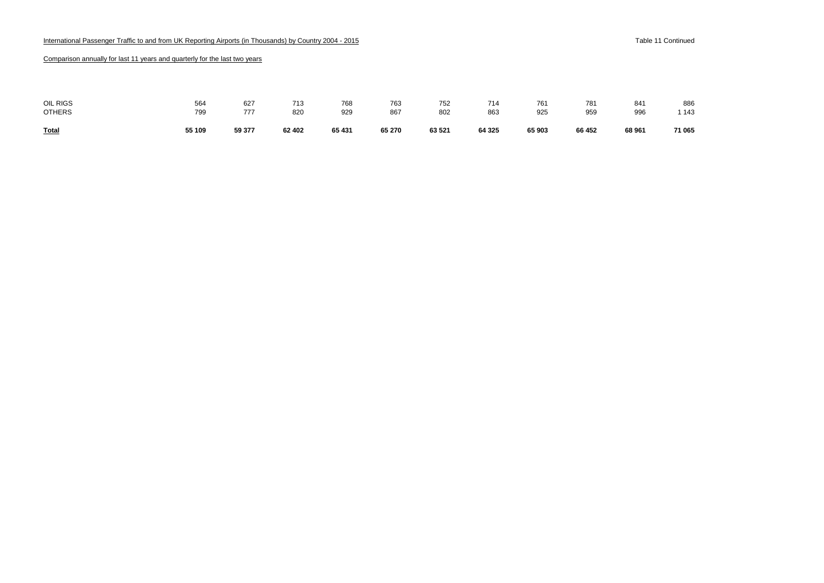| <b>Total</b>  | 55 109 | 59 377 | 62 402 | 65 431 | 65 270 | 63 521 | 64 3 25 | 65 903 | 66 452 | 68 961 | 71 065  |
|---------------|--------|--------|--------|--------|--------|--------|---------|--------|--------|--------|---------|
| <b>OTHERS</b> | 799    | 777    | 820    | 929    | 867    | 802    | 863     | 925    | 959    | 996    | 1 1 4 3 |
| OIL RIGS      | 564    | 627    | 713    | 768    | 763    | 752    | 714     | 761    | 781    | 841    | 886     |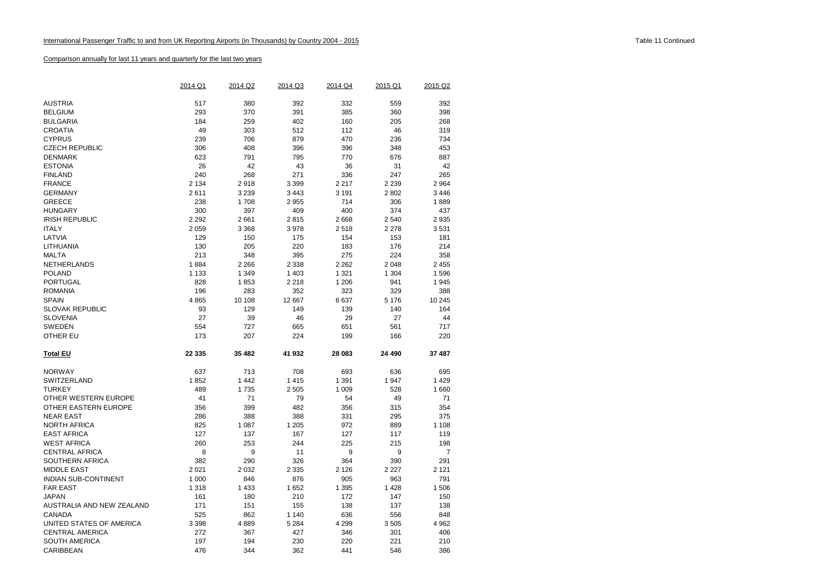|                                       | 2014 Q1 | 2014 Q2 | 2014 Q3 | 2014 Q4 | 2015 Q1 | 2015 Q2        |
|---------------------------------------|---------|---------|---------|---------|---------|----------------|
|                                       |         |         |         |         |         |                |
| <b>AUSTRIA</b>                        | 517     | 380     | 392     | 332     | 559     | 392            |
| <b>BELGIUM</b>                        | 293     | 370     | 391     | 385     | 360     | 398            |
| <b>BULGARIA</b>                       | 184     | 259     | 402     | 160     | 205     | 268            |
| <b>CROATIA</b>                        | 49      | 303     | 512     | 112     | 46      | 319            |
| <b>CYPRUS</b>                         | 239     | 706     | 879     | 470     | 236     | 734            |
| <b>CZECH REPUBLIC</b>                 | 306     | 408     | 396     | 396     | 348     | 453            |
| <b>DENMARK</b>                        | 623     | 791     | 795     | 770     | 676     | 887            |
| <b>ESTONIA</b>                        | 26      | 42      | 43      | 36      | 31      | 42             |
| <b>FINLAND</b>                        | 240     | 268     | 271     | 336     | 247     | 265            |
| <b>FRANCE</b>                         | 2 1 3 4 | 2918    | 3 3 9 9 | 2 2 1 7 | 2 2 3 9 | 2 9 64         |
| <b>GERMANY</b>                        | 2611    | 3 2 3 9 | 3 4 4 3 | 3 1 9 1 | 2802    | 3 4 4 6        |
| <b>GREECE</b>                         | 238     | 1708    | 2955    | 714     | 306     | 1889           |
| <b>HUNGARY</b>                        | 300     | 397     | 409     | 400     | 374     | 437            |
| <b>IRISH REPUBLIC</b>                 | 2 2 9 2 | 2661    | 2815    | 2668    | 2 5 4 0 | 2 9 3 5        |
| <b>ITALY</b>                          | 2 0 5 9 | 3 3 6 8 | 3978    | 2518    | 2 2 7 8 | 3531           |
| LATVIA                                | 129     | 150     | 175     | 154     | 153     | 181            |
| LITHUANIA                             | 130     | 205     | 220     | 183     | 176     | 214            |
| <b>MALTA</b>                          | 213     | 348     | 395     | 275     | 224     | 358            |
| NETHERLANDS                           | 1884    | 2 2 6 6 | 2 3 3 8 | 2 2 6 2 | 2 0 4 8 | 2 4 5 5        |
| <b>POLAND</b>                         | 1 1 3 3 | 1 3 4 9 | 1 4 0 3 | 1 3 2 1 | 1 3 0 4 | 1596           |
| <b>PORTUGAL</b>                       | 828     | 1853    | 2 2 1 8 | 1 206   | 941     | 1 9 4 5        |
| <b>ROMANIA</b>                        | 196     | 283     | 352     | 323     | 329     | 388            |
| <b>SPAIN</b>                          | 4865    | 10 108  | 12 667  | 6637    | 5 1 7 6 | 10 245         |
| <b>SLOVAK REPUBLIC</b>                | 93      | 129     | 149     | 139     | 140     | 164            |
| <b>SLOVENIA</b>                       | 27      | 39      | 46      | 29      | 27      | 44             |
| <b>SWEDEN</b>                         | 554     | 727     | 665     | 651     | 561     | 717            |
| OTHER EU                              | 173     | 207     | 224     | 199     | 166     | 220            |
|                                       |         |         |         |         |         |                |
| <b>Total EU</b>                       | 22 335  | 35 482  | 41 932  | 28 083  | 24 490  | 37 487         |
| <b>NORWAY</b>                         | 637     | 713     | 708     | 693     | 636     | 695            |
| SWITZERLAND                           | 1852    | 1 4 4 2 | 1415    | 1 3 9 1 | 1947    | 1 4 2 9        |
| <b>TURKEY</b>                         | 489     | 1735    | 2 5 0 5 | 1 0 0 9 | 528     | 1 660          |
| OTHER WESTERN EUROPE                  | 41      | 71      | 79      | 54      | 49      | 71             |
| OTHER EASTERN EUROPE                  | 356     | 399     | 482     | 356     | 315     | 354            |
| <b>NEAR EAST</b>                      | 286     | 388     | 388     | 331     | 295     | 375            |
| <b>NORTH AFRICA</b>                   | 825     | 1 0 8 7 | 1 2 0 5 | 972     | 889     | 1 1 0 8        |
| <b>EAST AFRICA</b>                    | 127     | 137     | 167     | 127     | 117     | 119            |
| <b>WEST AFRICA</b>                    | 260     | 253     | 244     | 225     | 215     | 198            |
| <b>CENTRAL AFRICA</b>                 | 8       | 9       | 11      | 9       | 9       | $\overline{7}$ |
|                                       | 382     | 290     | 326     |         | 390     | 291            |
| SOUTHERN AFRICA<br><b>MIDDLE EAST</b> | 2 0 2 1 | 2 0 3 2 |         | 364     | 2 2 2 7 | 2 1 2 1        |
|                                       |         |         | 2 3 3 5 | 2 1 2 6 |         |                |
| <b>INDIAN SUB-CONTINENT</b>           | 1 000   | 846     | 876     | 905     | 963     | 791            |
| <b>FAR EAST</b>                       | 1 3 1 8 | 1 4 3 3 | 1652    | 1 3 9 5 | 1428    | 1 506          |
| <b>JAPAN</b>                          | 161     | 180     | 210     | 172     | 147     | 150            |
| AUSTRALIA AND NEW ZEALAND             | 171     | 151     | 155     | 138     | 137     | 138            |
| CANADA                                | 525     | 862     | 1 1 4 0 | 636     | 556     | 848            |
| UNITED STATES OF AMERICA              | 3 3 9 8 | 4889    | 5 2 8 4 | 4 2 9 9 | 3505    | 4 9 6 2        |
| <b>CENTRAL AMERICA</b>                | 272     | 367     | 427     | 346     | 301     | 406            |
| <b>SOUTH AMERICA</b>                  | 197     | 194     | 230     | 220     | 221     | 210            |
| CARIBBEAN                             | 476     | 344     | 362     | 441     | 546     | 386            |